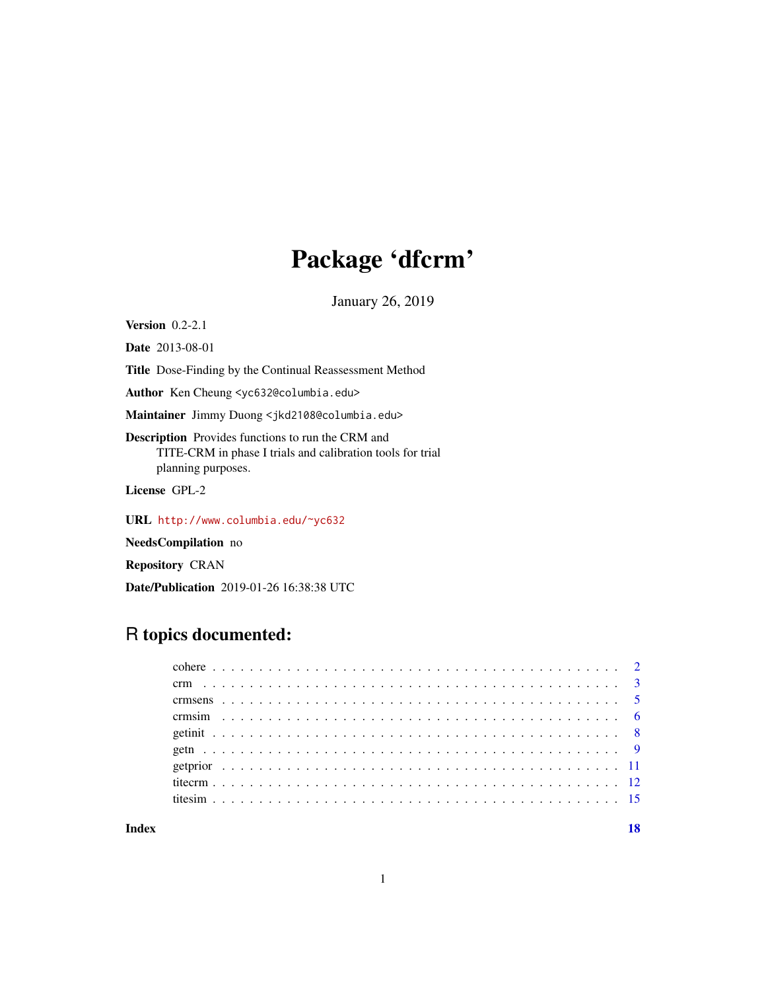# Package 'dfcrm'

January 26, 2019

**Version** 0.2-2.1

Date 2013-08-01

Title Dose-Finding by the Continual Reassessment Method

Author Ken Cheung <yc632@columbia.edu>

Maintainer Jimmy Duong <jkd2108@columbia.edu>

Description Provides functions to run the CRM and TITE-CRM in phase I trials and calibration tools for trial planning purposes.

License GPL-2

URL <http://www.columbia.edu/~yc632>

NeedsCompilation no

Repository CRAN

Date/Publication 2019-01-26 16:38:38 UTC

# R topics documented:

#### **Index** 2008 **[18](#page-17-0)**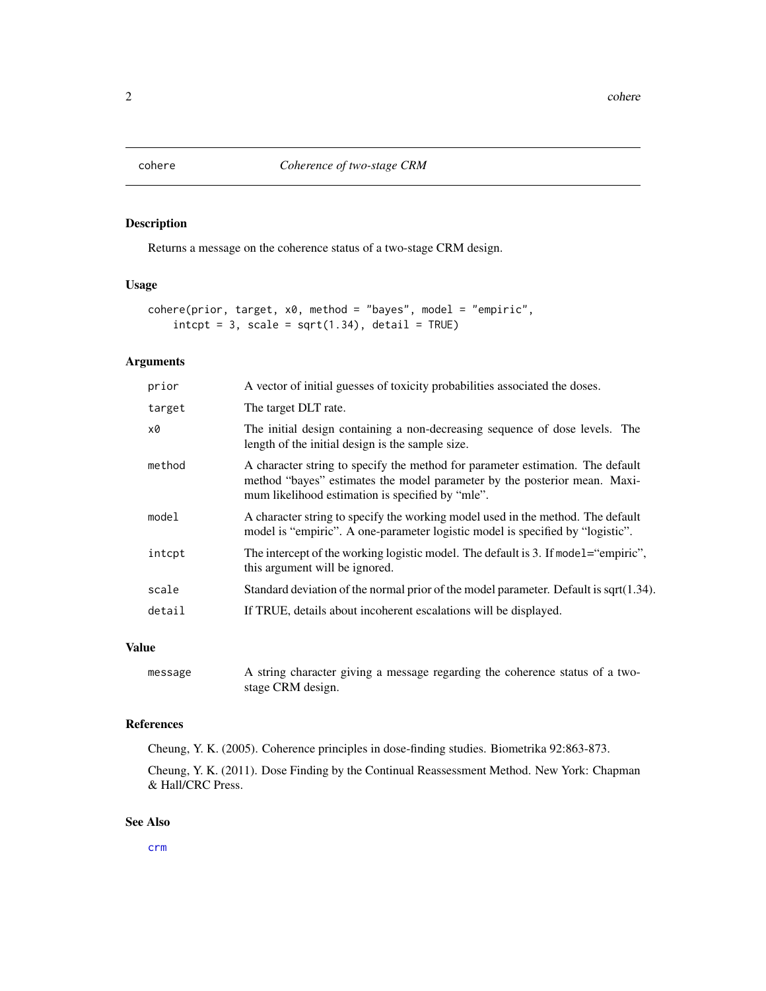<span id="page-1-1"></span><span id="page-1-0"></span>

# Description

Returns a message on the coherence status of a two-stage CRM design.

# Usage

```
cohere(prior, target, x0, method = "bayes", model = "empiric",
   intcpt = 3, scale = sqrt(1.34), detail = TRUE)
```
# Arguments

| prior  | A vector of initial guesses of toxicity probabilities associated the doses.                                                                                                                                     |
|--------|-----------------------------------------------------------------------------------------------------------------------------------------------------------------------------------------------------------------|
| target | The target DLT rate.                                                                                                                                                                                            |
| x0     | The initial design containing a non-decreasing sequence of dose levels. The<br>length of the initial design is the sample size.                                                                                 |
| method | A character string to specify the method for parameter estimation. The default<br>method "bayes" estimates the model parameter by the posterior mean. Maxi-<br>mum likelihood estimation is specified by "mle". |
| model  | A character string to specify the working model used in the method. The default<br>model is "empiric". A one-parameter logistic model is specified by "logistic".                                               |
| intcpt | The intercept of the working logistic model. The default is 3. If model= "empiric",<br>this argument will be ignored.                                                                                           |
| scale  | Standard deviation of the normal prior of the model parameter. Default is sqrt $(1.34)$ .                                                                                                                       |
| detail | If TRUE, details about incoherent escalations will be displayed.                                                                                                                                                |
|        |                                                                                                                                                                                                                 |

# Value

```
message A string character giving a message regarding the coherence status of a two-
                stage CRM design.
```
#### References

Cheung, Y. K. (2005). Coherence principles in dose-finding studies. Biometrika 92:863-873.

Cheung, Y. K. (2011). Dose Finding by the Continual Reassessment Method. New York: Chapman & Hall/CRC Press.

#### See Also

[crm](#page-2-1)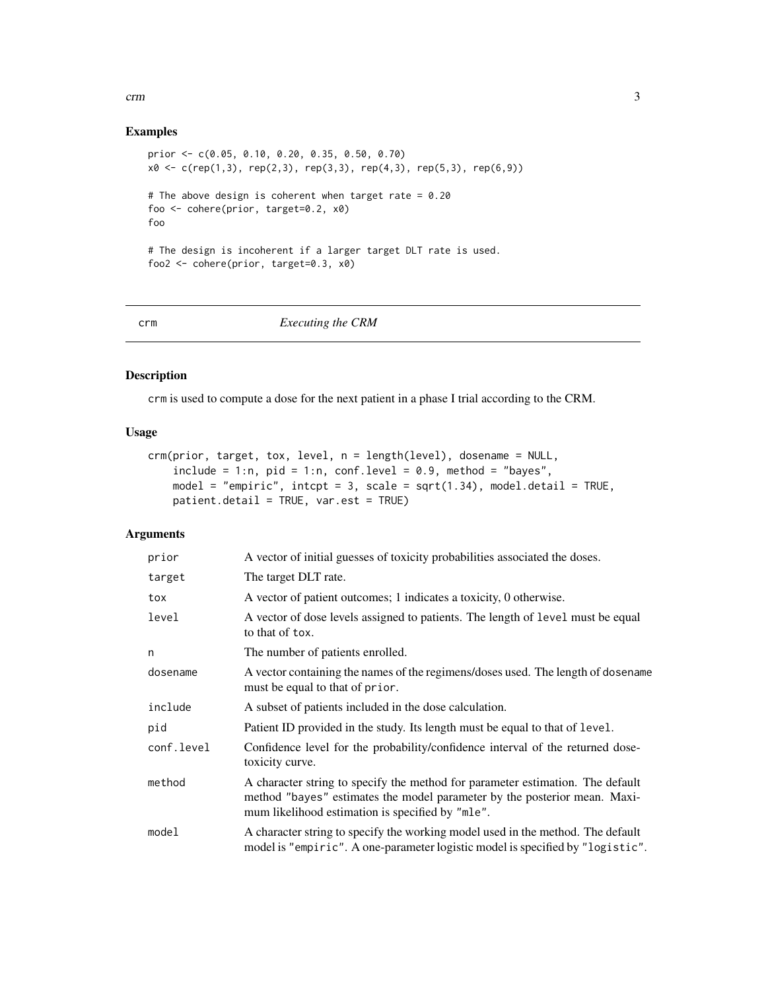#### <span id="page-2-0"></span>crm 3

# Examples

```
prior <- c(0.05, 0.10, 0.20, 0.35, 0.50, 0.70)
x0 \leq c (rep(1,3), rep(2,3), rep(3,3), rep(4,3), rep(5,3), rep(6,9))
# The above design is coherent when target rate = 0.20
foo <- cohere(prior, target=0.2, x0)
foo
# The design is incoherent if a larger target DLT rate is used.
foo2 <- cohere(prior, target=0.3, x0)
```
#### <span id="page-2-1"></span>crm *Executing the CRM*

# Description

crm is used to compute a dose for the next patient in a phase I trial according to the CRM.

#### Usage

```
crm(prior, target, tox, level, n = length(level), dosename = NULL,
    include = 1:n, pid = 1:n, conf.level = 0.9, method = "bayes",
   model = "empiric", intcpt = 3, scale = sqrt(1.34), model.detail = TRUE,
   patient.detail = TRUE, var.est = TRUE)
```

| prior      | A vector of initial guesses of toxicity probabilities associated the doses.                                                                                                                                     |
|------------|-----------------------------------------------------------------------------------------------------------------------------------------------------------------------------------------------------------------|
| target     | The target DLT rate.                                                                                                                                                                                            |
| tox        | A vector of patient outcomes; 1 indicates a toxicity, 0 otherwise.                                                                                                                                              |
| level      | A vector of dose levels assigned to patients. The length of level must be equal<br>to that of tox.                                                                                                              |
| n          | The number of patients enrolled.                                                                                                                                                                                |
| dosename   | A vector containing the names of the regimens/doses used. The length of dosename<br>must be equal to that of prior.                                                                                             |
| include    | A subset of patients included in the dose calculation.                                                                                                                                                          |
| pid        | Patient ID provided in the study. Its length must be equal to that of level.                                                                                                                                    |
| conf.level | Confidence level for the probability/confidence interval of the returned dose-<br>toxicity curve.                                                                                                               |
| method     | A character string to specify the method for parameter estimation. The default<br>method "bayes" estimates the model parameter by the posterior mean. Maxi-<br>mum likelihood estimation is specified by "mle". |
| model      | A character string to specify the working model used in the method. The default<br>model is "empiric". A one-parameter logistic model is specified by "logistic".                                               |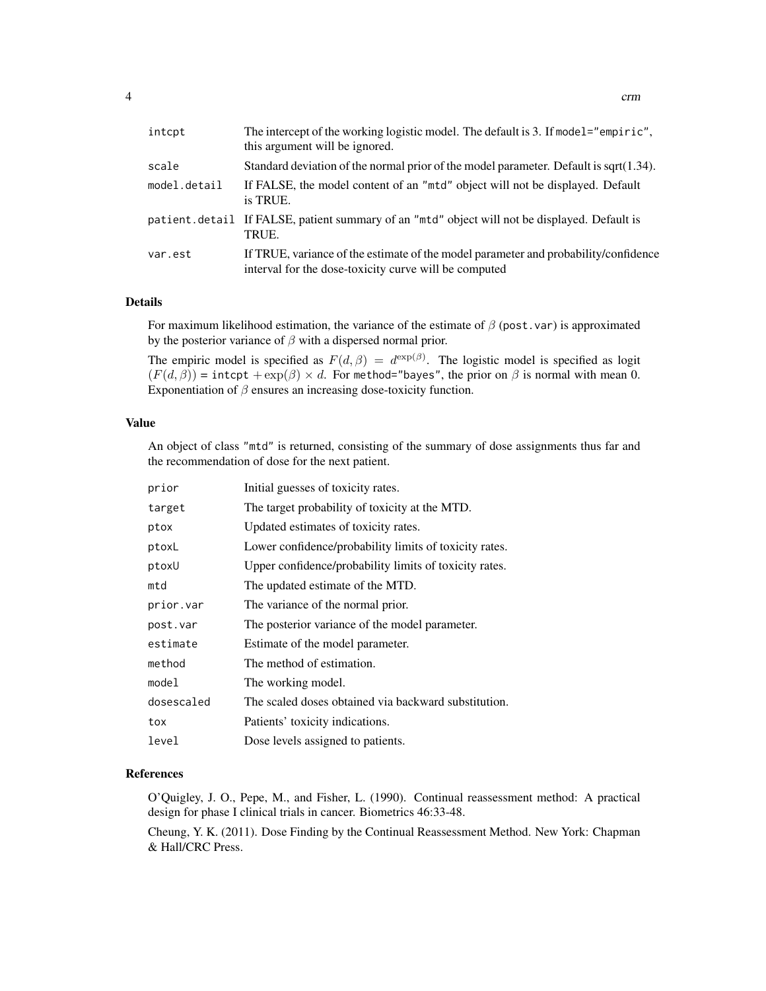| intcpt       | The intercept of the working logistic model. The default is 3. If model="empiric",<br>this argument will be ignored.                         |
|--------------|----------------------------------------------------------------------------------------------------------------------------------------------|
| scale        | Standard deviation of the normal prior of the model parameter. Default is sqrt $(1.34)$ .                                                    |
| model.detail | If FALSE, the model content of an "mtd" object will not be displayed. Default<br>is TRUE.                                                    |
|              | patient.detail If FALSE, patient summary of an "mtd" object will not be displayed. Default is<br>TRUE.                                       |
| var.est      | If TRUE, variance of the estimate of the model parameter and probability/confidence<br>interval for the dose-toxicity curve will be computed |

#### Details

For maximum likelihood estimation, the variance of the estimate of  $\beta$  (post.var) is approximated by the posterior variance of  $\beta$  with a dispersed normal prior.

The empiric model is specified as  $F(d, \beta) = d^{\exp(\beta)}$ . The logistic model is specified as logit  $(F(d, \beta)) = \text{intcpt} + \exp(\beta) \times d$ . For method="bayes", the prior on  $\beta$  is normal with mean 0. Exponentiation of  $\beta$  ensures an increasing dose-toxicity function.

#### Value

An object of class "mtd" is returned, consisting of the summary of dose assignments thus far and the recommendation of dose for the next patient.

| prior      | Initial guesses of toxicity rates.                     |
|------------|--------------------------------------------------------|
| target     | The target probability of toxicity at the MTD.         |
| ptox       | Updated estimates of toxicity rates.                   |
| ptoxL      | Lower confidence/probability limits of toxicity rates. |
| ptoxU      | Upper confidence/probability limits of toxicity rates. |
| mtd        | The updated estimate of the MTD.                       |
| prior.var  | The variance of the normal prior.                      |
| post.var   | The posterior variance of the model parameter.         |
| estimate   | Estimate of the model parameter.                       |
| method     | The method of estimation.                              |
| model      | The working model.                                     |
| dosescaled | The scaled doses obtained via backward substitution.   |
| tox        | Patients' toxicity indications.                        |
| level      | Dose levels assigned to patients.                      |

# References

O'Quigley, J. O., Pepe, M., and Fisher, L. (1990). Continual reassessment method: A practical design for phase I clinical trials in cancer. Biometrics 46:33-48.

Cheung, Y. K. (2011). Dose Finding by the Continual Reassessment Method. New York: Chapman & Hall/CRC Press.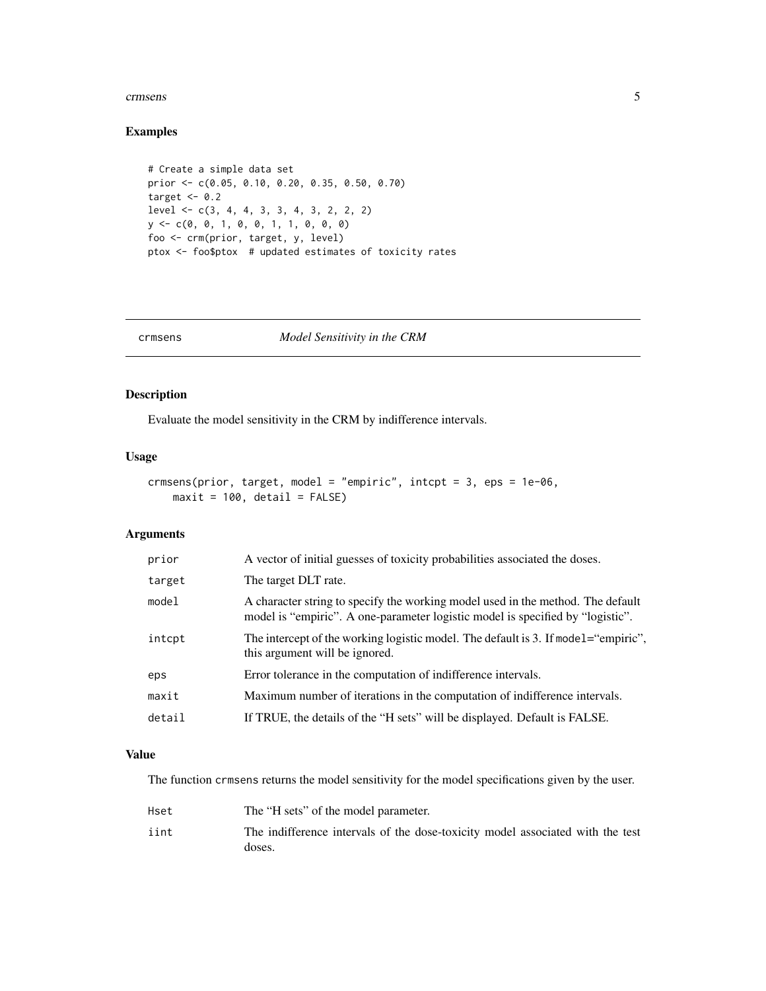#### <span id="page-4-0"></span>crimsens 5

# Examples

```
# Create a simple data set
prior <- c(0.05, 0.10, 0.20, 0.35, 0.50, 0.70)
target <-0.2level <- c(3, 4, 4, 3, 3, 4, 3, 2, 2, 2)
y <- c(0, 0, 1, 0, 0, 1, 1, 0, 0, 0)
foo <- crm(prior, target, y, level)
ptox <- foo$ptox # updated estimates of toxicity rates
```
#### <span id="page-4-1"></span>crmsens *Model Sensitivity in the CRM*

# Description

Evaluate the model sensitivity in the CRM by indifference intervals.

# Usage

```
crmsens(prior, target, model = "empiric", intcpt = 3, eps = 1e-06,
   maxit = 100, detail = FALSE)
```
# Arguments

| prior  | A vector of initial guesses of toxicity probabilities associated the doses.                                                                                       |
|--------|-------------------------------------------------------------------------------------------------------------------------------------------------------------------|
| target | The target DLT rate.                                                                                                                                              |
| model  | A character string to specify the working model used in the method. The default<br>model is "empiric". A one-parameter logistic model is specified by "logistic". |
| intcpt | The intercept of the working logistic model. The default is 3. If model= "empiric",<br>this argument will be ignored.                                             |
| eps    | Error tolerance in the computation of indifference intervals.                                                                                                     |
| maxit  | Maximum number of iterations in the computation of indifference intervals.                                                                                        |
| detail | If TRUE, the details of the "H sets" will be displayed. Default is FALSE.                                                                                         |

#### Value

The function crmsens returns the model sensitivity for the model specifications given by the user.

| Hset | The "H sets" of the model parameter.                                                     |
|------|------------------------------------------------------------------------------------------|
| iint | The indifference intervals of the dose-toxicity model associated with the test<br>doses. |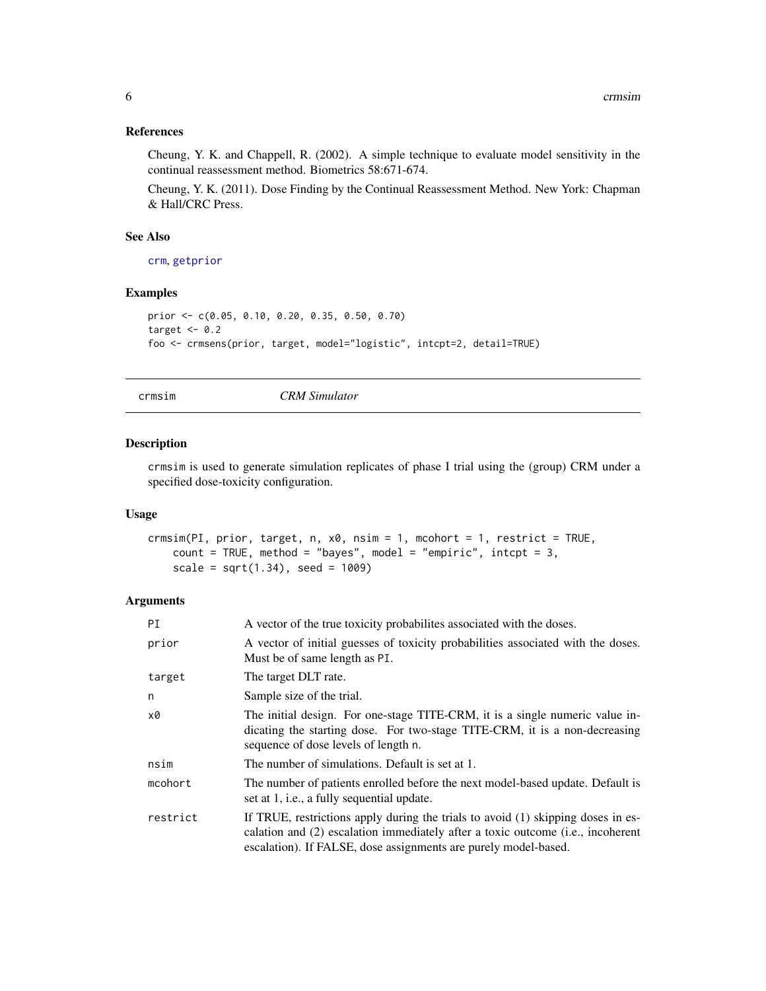# <span id="page-5-0"></span>References

Cheung, Y. K. and Chappell, R. (2002). A simple technique to evaluate model sensitivity in the continual reassessment method. Biometrics 58:671-674.

Cheung, Y. K. (2011). Dose Finding by the Continual Reassessment Method. New York: Chapman & Hall/CRC Press.

#### See Also

[crm](#page-2-1), [getprior](#page-10-1)

#### Examples

```
prior <- c(0.05, 0.10, 0.20, 0.35, 0.50, 0.70)
target <-0.2foo <- crmsens(prior, target, model="logistic", intcpt=2, detail=TRUE)
```
<span id="page-5-1"></span>

crmsim *CRM Simulator*

### Description

crmsim is used to generate simulation replicates of phase I trial using the (group) CRM under a specified dose-toxicity configuration.

#### Usage

```
crmsim(PI, prior, target, n, x0, nsim = 1, mcohort = 1, restrict = TRUE,
    count = TRUE, method = "bayes", model = "empiric", intcpt = 3,
    scale = sqrt(1.34), seed = 1009)
```

| ΡI       | A vector of the true toxicity probabilities associated with the doses.                                                                                                                                                                 |
|----------|----------------------------------------------------------------------------------------------------------------------------------------------------------------------------------------------------------------------------------------|
| prior    | A vector of initial guesses of toxicity probabilities associated with the doses.<br>Must be of same length as PI.                                                                                                                      |
| target   | The target DLT rate.                                                                                                                                                                                                                   |
| n        | Sample size of the trial.                                                                                                                                                                                                              |
| х0       | The initial design. For one-stage TITE-CRM, it is a single numeric value in-<br>dicating the starting dose. For two-stage TITE-CRM, it is a non-decreasing<br>sequence of dose levels of length n.                                     |
| nsim     | The number of simulations. Default is set at 1.                                                                                                                                                                                        |
| mcohort  | The number of patients enrolled before the next model-based update. Default is<br>set at 1, i.e., a fully sequential update.                                                                                                           |
| restrict | If TRUE, restrictions apply during the trials to avoid (1) skipping doses in es-<br>calation and (2) escalation immediately after a toxic outcome (i.e., incoherent<br>escalation). If FALSE, dose assignments are purely model-based. |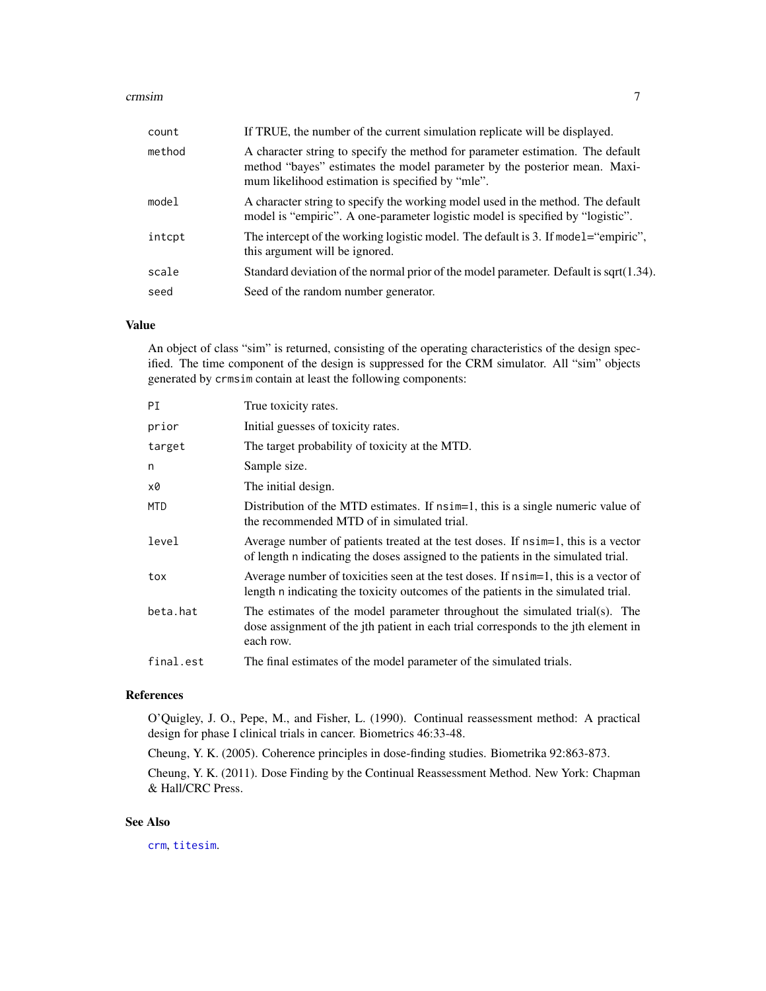#### <span id="page-6-0"></span>crmsim and the contract of the contract of the contract of the contract of the contract of the contract of the contract of the contract of the contract of the contract of the contract of the contract of the contract of the

| count  | If TRUE, the number of the current simulation replicate will be displayed.                                                                                                                                      |
|--------|-----------------------------------------------------------------------------------------------------------------------------------------------------------------------------------------------------------------|
| method | A character string to specify the method for parameter estimation. The default<br>method "bayes" estimates the model parameter by the posterior mean. Maxi-<br>mum likelihood estimation is specified by "mle". |
| model  | A character string to specify the working model used in the method. The default<br>model is "empiric". A one-parameter logistic model is specified by "logistic".                                               |
| intcpt | The intercept of the working logistic model. The default is 3. If model="empiric",<br>this argument will be ignored.                                                                                            |
| scale  | Standard deviation of the normal prior of the model parameter. Default is sqrt $(1.34)$ .                                                                                                                       |
| seed   | Seed of the random number generator.                                                                                                                                                                            |

# Value

An object of class "sim" is returned, consisting of the operating characteristics of the design specified. The time component of the design is suppressed for the CRM simulator. All "sim" objects generated by crmsim contain at least the following components:

| ΡI        | True toxicity rates.                                                                                                                                                           |
|-----------|--------------------------------------------------------------------------------------------------------------------------------------------------------------------------------|
| prior     | Initial guesses of toxicity rates.                                                                                                                                             |
| target    | The target probability of toxicity at the MTD.                                                                                                                                 |
| n         | Sample size.                                                                                                                                                                   |
| x0        | The initial design.                                                                                                                                                            |
| MTD       | Distribution of the MTD estimates. If nsim=1, this is a single numeric value of<br>the recommended MTD of in simulated trial.                                                  |
| level     | Average number of patients treated at the test doses. If nsimely this is a vector<br>of length n indicating the doses assigned to the patients in the simulated trial.         |
| tox       | Average number of toxicities seen at the test doses. If $n \sinh 1$ , this is a vector of<br>length n indicating the toxicity outcomes of the patients in the simulated trial. |
| beta.hat  | The estimates of the model parameter throughout the simulated trial(s). The<br>dose assignment of the jth patient in each trial corresponds to the jth element in<br>each row. |
| final.est | The final estimates of the model parameter of the simulated trials.                                                                                                            |
|           |                                                                                                                                                                                |

# References

O'Quigley, J. O., Pepe, M., and Fisher, L. (1990). Continual reassessment method: A practical design for phase I clinical trials in cancer. Biometrics 46:33-48.

Cheung, Y. K. (2005). Coherence principles in dose-finding studies. Biometrika 92:863-873.

Cheung, Y. K. (2011). Dose Finding by the Continual Reassessment Method. New York: Chapman & Hall/CRC Press.

#### See Also

[crm](#page-2-1), [titesim](#page-14-1).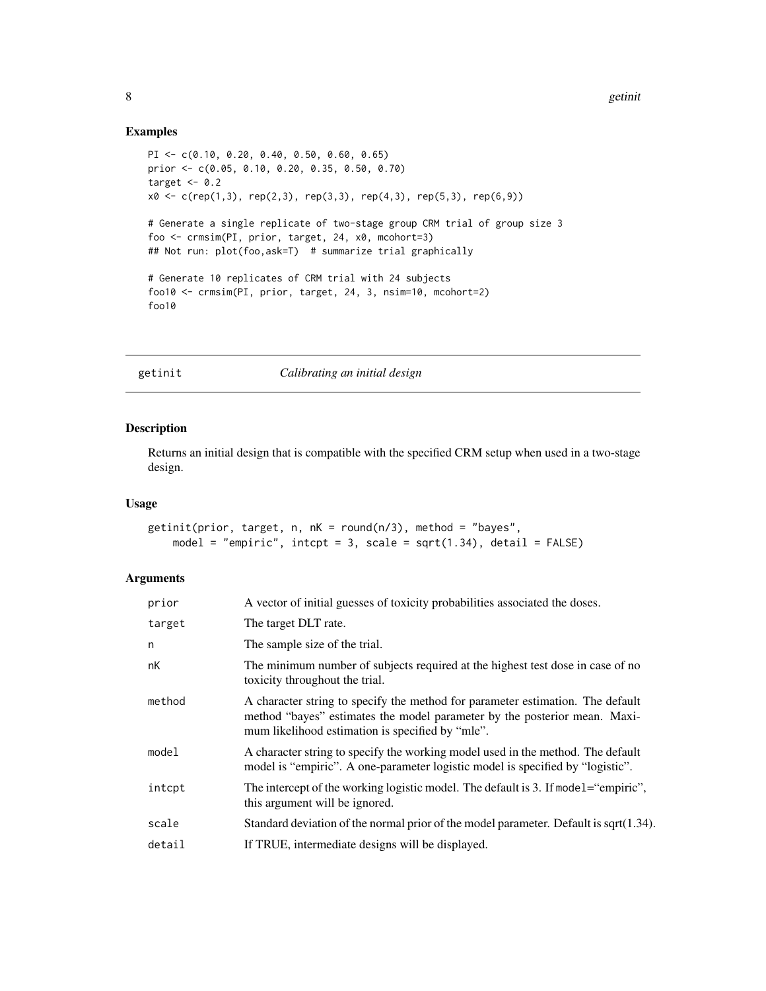# Examples

```
PI <- c(0.10, 0.20, 0.40, 0.50, 0.60, 0.65)
prior <- c(0.05, 0.10, 0.20, 0.35, 0.50, 0.70)
target <-0.2x0 \leq c (rep(1,3), rep(2,3), rep(3,3), rep(4,3), rep(5,3), rep(6,9))
# Generate a single replicate of two-stage group CRM trial of group size 3
foo <- crmsim(PI, prior, target, 24, x0, mcohort=3)
## Not run: plot(foo,ask=T) # summarize trial graphically
# Generate 10 replicates of CRM trial with 24 subjects
foo10 <- crmsim(PI, prior, target, 24, 3, nsim=10, mcohort=2)
foo10
```
getinit *Calibrating an initial design*

#### Description

Returns an initial design that is compatible with the specified CRM setup when used in a two-stage design.

#### Usage

```
getinit(prior, target, n, nK = round(n/3), method = "bayes",
   model = "empiric", intcpt = 3, scale = sqrt(1.34), detail = FALSE)
```

| prior  | A vector of initial guesses of toxicity probabilities associated the doses.                                                                                                                                     |
|--------|-----------------------------------------------------------------------------------------------------------------------------------------------------------------------------------------------------------------|
| target | The target DLT rate.                                                                                                                                                                                            |
| n      | The sample size of the trial.                                                                                                                                                                                   |
| nК     | The minimum number of subjects required at the highest test dose in case of no<br>toxicity throughout the trial.                                                                                                |
| method | A character string to specify the method for parameter estimation. The default<br>method "bayes" estimates the model parameter by the posterior mean. Maxi-<br>mum likelihood estimation is specified by "mle". |
| model  | A character string to specify the working model used in the method. The default<br>model is "empiric". A one-parameter logistic model is specified by "logistic".                                               |
| intcpt | The intercept of the working logistic model. The default is 3. If model="empiric",<br>this argument will be ignored.                                                                                            |
| scale  | Standard deviation of the normal prior of the model parameter. Default is sqrt $(1.34)$ .                                                                                                                       |
| detail | If TRUE, intermediate designs will be displayed.                                                                                                                                                                |

<span id="page-7-0"></span>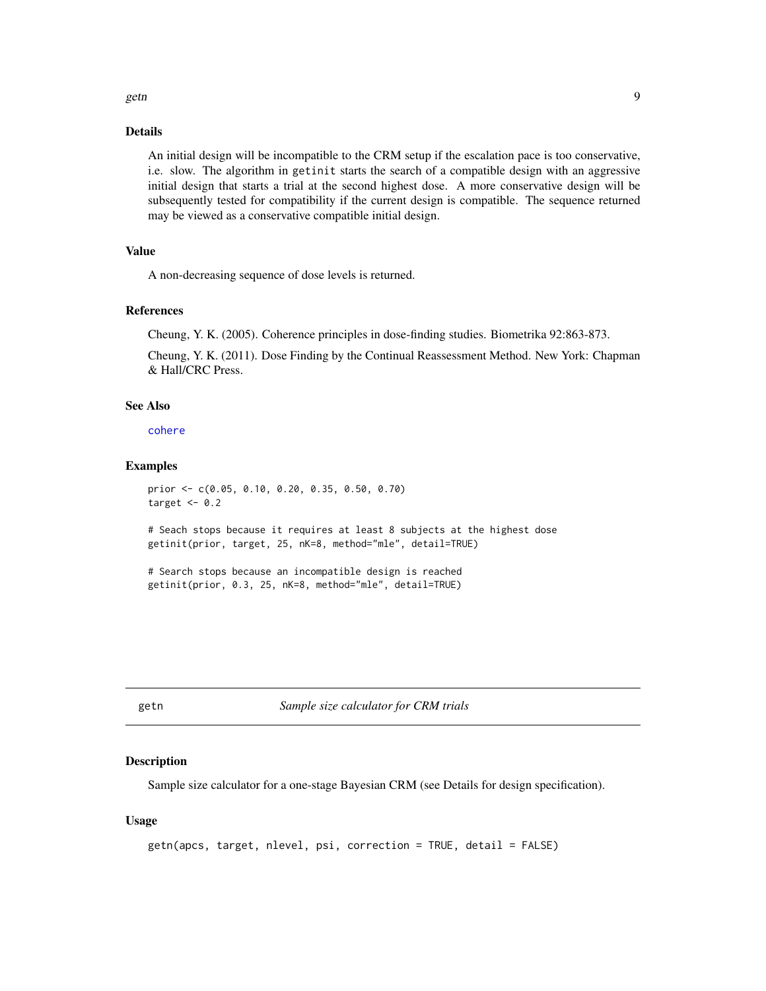#### <span id="page-8-0"></span>getn and the set of the set of the set of the set of the set of the set of the set of the set of the set of the set of the set of the set of the set of the set of the set of the set of the set of the set of the set of the

#### Details

An initial design will be incompatible to the CRM setup if the escalation pace is too conservative, i.e. slow. The algorithm in getinit starts the search of a compatible design with an aggressive initial design that starts a trial at the second highest dose. A more conservative design will be subsequently tested for compatibility if the current design is compatible. The sequence returned may be viewed as a conservative compatible initial design.

# Value

A non-decreasing sequence of dose levels is returned.

#### References

Cheung, Y. K. (2005). Coherence principles in dose-finding studies. Biometrika 92:863-873.

Cheung, Y. K. (2011). Dose Finding by the Continual Reassessment Method. New York: Chapman & Hall/CRC Press.

#### See Also

[cohere](#page-1-1)

#### Examples

```
prior <- c(0.05, 0.10, 0.20, 0.35, 0.50, 0.70)
target <-0.2# Seach stops because it requires at least 8 subjects at the highest dose
getinit(prior, target, 25, nK=8, method="mle", detail=TRUE)
# Search stops because an incompatible design is reached
getinit(prior, 0.3, 25, nK=8, method="mle", detail=TRUE)
```
getn *Sample size calculator for CRM trials*

#### Description

Sample size calculator for a one-stage Bayesian CRM (see Details for design specification).

#### Usage

```
getn(apcs, target, nlevel, psi, correction = TRUE, detail = FALSE)
```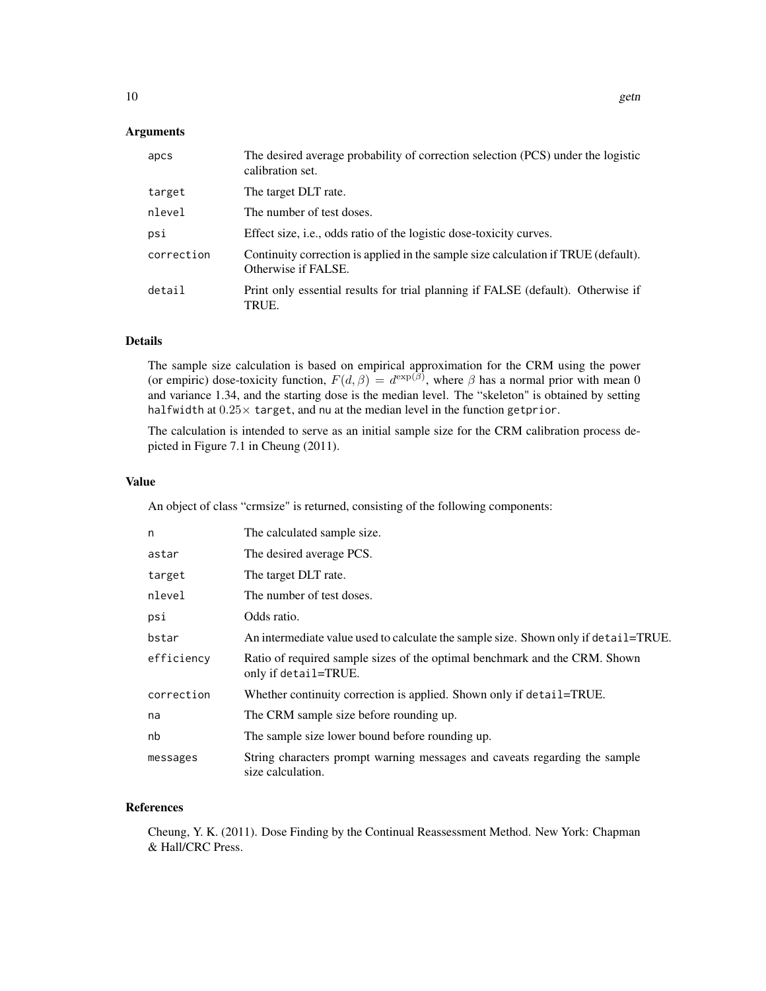### Arguments

| apcs       | The desired average probability of correction selection (PCS) under the logistic<br>calibration set.      |
|------------|-----------------------------------------------------------------------------------------------------------|
| target     | The target DLT rate.                                                                                      |
| nlevel     | The number of test doses.                                                                                 |
| psi        | Effect size, <i>i.e.</i> , odds ratio of the logistic dose-toxicity curves.                               |
| correction | Continuity correction is applied in the sample size calculation if TRUE (default).<br>Otherwise if FALSE. |
| detail     | Print only essential results for trial planning if FALSE (default). Otherwise if<br>TRUE.                 |

# Details

The sample size calculation is based on empirical approximation for the CRM using the power (or empiric) dose-toxicity function,  $F(d, \beta) = d^{\exp(\beta)}$ , where  $\beta$  has a normal prior with mean 0 and variance 1.34, and the starting dose is the median level. The "skeleton" is obtained by setting halfwidth at  $0.25\times$  target, and nu at the median level in the function getprior.

The calculation is intended to serve as an initial sample size for the CRM calibration process depicted in Figure 7.1 in Cheung (2011).

# Value

An object of class "crmsize" is returned, consisting of the following components:

| n          | The calculated sample size.                                                                        |
|------------|----------------------------------------------------------------------------------------------------|
| astar      | The desired average PCS.                                                                           |
| target     | The target DLT rate.                                                                               |
| nlevel     | The number of test doses.                                                                          |
| psi        | Odds ratio.                                                                                        |
| bstar      | An intermediate value used to calculate the sample size. Shown only if detail=TRUE.                |
| efficiency | Ratio of required sample sizes of the optimal benchmark and the CRM. Shown<br>only if detail=TRUE. |
| correction | Whether continuity correction is applied. Shown only if detail=TRUE.                               |
| na         | The CRM sample size before rounding up.                                                            |
| nb         | The sample size lower bound before rounding up.                                                    |
| messages   | String characters prompt warning messages and caveats regarding the sample<br>size calculation.    |

# References

Cheung, Y. K. (2011). Dose Finding by the Continual Reassessment Method. New York: Chapman & Hall/CRC Press.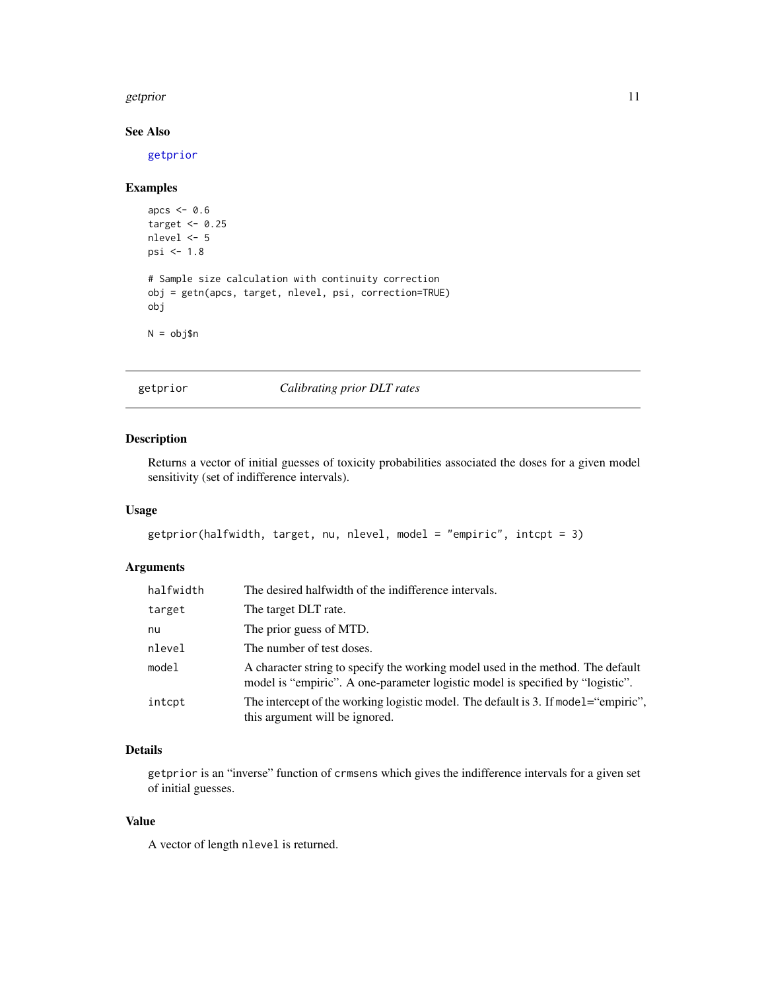#### <span id="page-10-0"></span>getprior that the set of the set of the set of the set of the set of the set of the set of the set of the set of the set of the set of the set of the set of the set of the set of the set of the set of the set of the set of

# See Also

[getprior](#page-10-1)

# Examples

```
apcs <-0.6target <- 0.25
nlevel <- 5
psi <- 1.8
# Sample size calculation with continuity correction
obj = getn(apcs, target, nlevel, psi, correction=TRUE)
obj
N = obj$n
```
<span id="page-10-1"></span>getprior *Calibrating prior DLT rates*

# Description

Returns a vector of initial guesses of toxicity probabilities associated the doses for a given model sensitivity (set of indifference intervals).

# Usage

```
getprior(halfwidth, target, nu, nlevel, model = "empiric", intcpt = 3)
```
# Arguments

| halfwidth | The desired halfwidth of the indifference intervals.                                                                                                              |
|-----------|-------------------------------------------------------------------------------------------------------------------------------------------------------------------|
| target    | The target DLT rate.                                                                                                                                              |
| nu        | The prior guess of MTD.                                                                                                                                           |
| nlevel    | The number of test doses.                                                                                                                                         |
| model     | A character string to specify the working model used in the method. The default<br>model is "empiric". A one-parameter logistic model is specified by "logistic". |
| intcpt    | The intercept of the working logistic model. The default is 3. If model="empiric",<br>this argument will be ignored.                                              |

# Details

getprior is an "inverse" function of crmsens which gives the indifference intervals for a given set of initial guesses.

# Value

A vector of length nlevel is returned.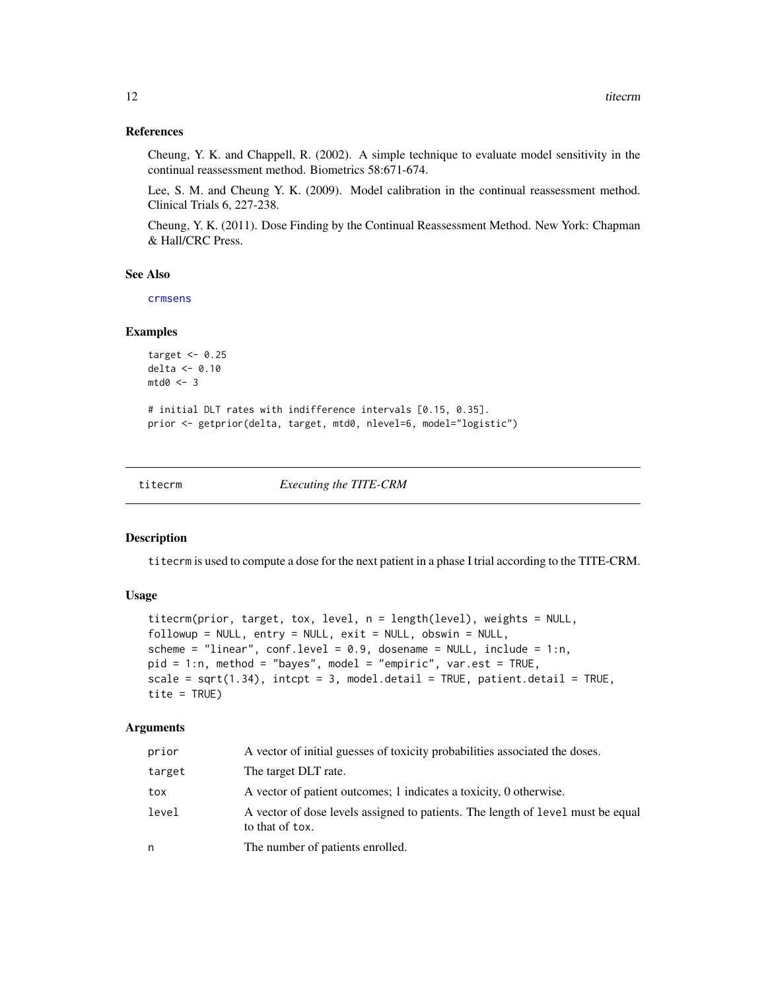#### <span id="page-11-0"></span>References

Cheung, Y. K. and Chappell, R. (2002). A simple technique to evaluate model sensitivity in the continual reassessment method. Biometrics 58:671-674.

Lee, S. M. and Cheung Y. K. (2009). Model calibration in the continual reassessment method. Clinical Trials 6, 227-238.

Cheung, Y. K. (2011). Dose Finding by the Continual Reassessment Method. New York: Chapman & Hall/CRC Press.

# See Also

[crmsens](#page-4-1)

#### Examples

```
target <-0.25delta <- 0.10
mtd0 < -3
```
# initial DLT rates with indifference intervals [0.15, 0.35]. prior <- getprior(delta, target, mtd0, nlevel=6, model="logistic")

<span id="page-11-1"></span>

titecrm *Executing the TITE-CRM*

# Description

titecrm is used to compute a dose for the next patient in a phase I trial according to the TITE-CRM.

#### Usage

```
titecrm(prior, target, tox, level, n = length(level), weights = NULL,
followup = NULL, entry = NULL, exit = NULL, obswin = NULL,
scheme = "linear", conf.level = 0.9, dosename = NULL, include = 1:n,
pid = 1:n, method = "bayes", model = "empiric", var.est = TRUE,
scale = sqrt(1.34), intcpt = 3, model.detail = TRUE, patient.detail = TRUE,
tite = TRUE)
```

| prior  | A vector of initial guesses of toxicity probabilities associated the doses.                        |
|--------|----------------------------------------------------------------------------------------------------|
| target | The target DLT rate.                                                                               |
| tox    | A vector of patient outcomes; 1 indicates a toxicity, 0 otherwise.                                 |
| level  | A vector of dose levels assigned to patients. The length of level must be equal<br>to that of tox. |
| n      | The number of patients enrolled.                                                                   |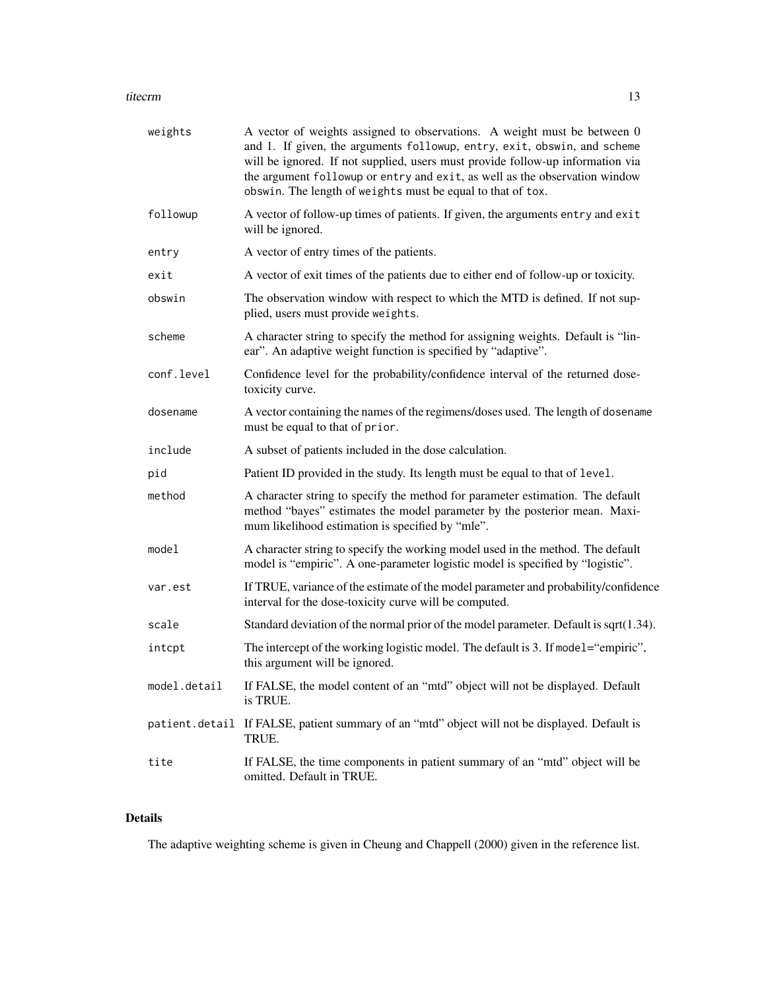#### titecrm and the contract of the contract of the contract of the contract of the contract of the contract of the contract of the contract of the contract of the contract of the contract of the contract of the contract of th

| weights        | A vector of weights assigned to observations. A weight must be between 0<br>and 1. If given, the arguments followup, entry, exit, obswin, and scheme<br>will be ignored. If not supplied, users must provide follow-up information via<br>the argument followup or entry and exit, as well as the observation window<br>obswin. The length of weights must be equal to that of tox. |
|----------------|-------------------------------------------------------------------------------------------------------------------------------------------------------------------------------------------------------------------------------------------------------------------------------------------------------------------------------------------------------------------------------------|
| followup       | A vector of follow-up times of patients. If given, the arguments entry and exit<br>will be ignored.                                                                                                                                                                                                                                                                                 |
| entry          | A vector of entry times of the patients.                                                                                                                                                                                                                                                                                                                                            |
| exit           | A vector of exit times of the patients due to either end of follow-up or toxicity.                                                                                                                                                                                                                                                                                                  |
| obswin         | The observation window with respect to which the MTD is defined. If not sup-<br>plied, users must provide weights.                                                                                                                                                                                                                                                                  |
| scheme         | A character string to specify the method for assigning weights. Default is "lin-<br>ear". An adaptive weight function is specified by "adaptive".                                                                                                                                                                                                                                   |
| conf.level     | Confidence level for the probability/confidence interval of the returned dose-<br>toxicity curve.                                                                                                                                                                                                                                                                                   |
| dosename       | A vector containing the names of the regimens/doses used. The length of dosename<br>must be equal to that of prior.                                                                                                                                                                                                                                                                 |
| include        | A subset of patients included in the dose calculation.                                                                                                                                                                                                                                                                                                                              |
| pid            | Patient ID provided in the study. Its length must be equal to that of level.                                                                                                                                                                                                                                                                                                        |
| method         | A character string to specify the method for parameter estimation. The default<br>method "bayes" estimates the model parameter by the posterior mean. Maxi-<br>mum likelihood estimation is specified by "mle".                                                                                                                                                                     |
| model          | A character string to specify the working model used in the method. The default<br>model is "empiric". A one-parameter logistic model is specified by "logistic".                                                                                                                                                                                                                   |
| var.est        | If TRUE, variance of the estimate of the model parameter and probability/confidence<br>interval for the dose-toxicity curve will be computed.                                                                                                                                                                                                                                       |
| scale          | Standard deviation of the normal prior of the model parameter. Default is sqrt $(1.34)$ .                                                                                                                                                                                                                                                                                           |
| intcpt         | The intercept of the working logistic model. The default is 3. If model="empiric",<br>this argument will be ignored.                                                                                                                                                                                                                                                                |
| model.detail   | If FALSE, the model content of an "mtd" object will not be displayed. Default<br>is TRUE.                                                                                                                                                                                                                                                                                           |
| patient.detail | If FALSE, patient summary of an "mtd" object will not be displayed. Default is<br>TRUE.                                                                                                                                                                                                                                                                                             |
| tite           | If FALSE, the time components in patient summary of an "mtd" object will be<br>omitted. Default in TRUE.                                                                                                                                                                                                                                                                            |

# Details

The adaptive weighting scheme is given in Cheung and Chappell (2000) given in the reference list.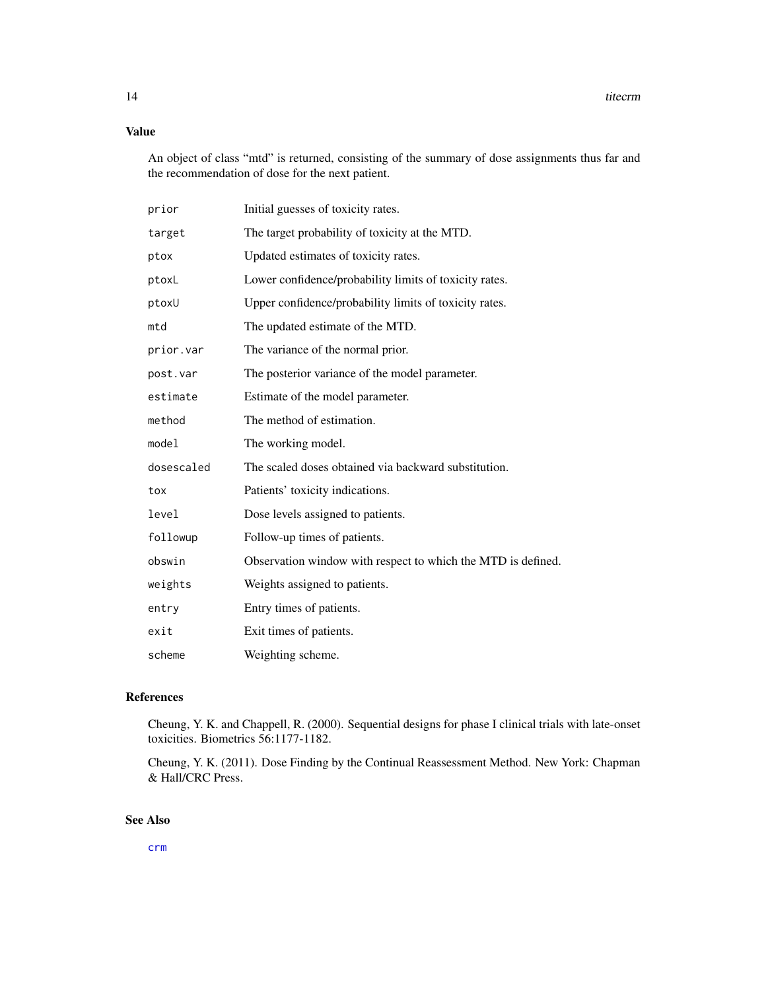# <span id="page-13-0"></span>Value

An object of class "mtd" is returned, consisting of the summary of dose assignments thus far and the recommendation of dose for the next patient.

| prior      | Initial guesses of toxicity rates.                           |
|------------|--------------------------------------------------------------|
| target     | The target probability of toxicity at the MTD.               |
| ptox       | Updated estimates of toxicity rates.                         |
| ptoxL      | Lower confidence/probability limits of toxicity rates.       |
| ptoxU      | Upper confidence/probability limits of toxicity rates.       |
| mtd        | The updated estimate of the MTD.                             |
| prior.var  | The variance of the normal prior.                            |
| post.var   | The posterior variance of the model parameter.               |
| estimate   | Estimate of the model parameter.                             |
| method     | The method of estimation.                                    |
| model      | The working model.                                           |
| dosescaled | The scaled doses obtained via backward substitution.         |
| tox        | Patients' toxicity indications.                              |
| level      | Dose levels assigned to patients.                            |
| followup   | Follow-up times of patients.                                 |
| obswin     | Observation window with respect to which the MTD is defined. |
| weights    | Weights assigned to patients.                                |
| entry      | Entry times of patients.                                     |
| exit       | Exit times of patients.                                      |
| scheme     | Weighting scheme.                                            |

#### References

Cheung, Y. K. and Chappell, R. (2000). Sequential designs for phase I clinical trials with late-onset toxicities. Biometrics 56:1177-1182.

Cheung, Y. K. (2011). Dose Finding by the Continual Reassessment Method. New York: Chapman & Hall/CRC Press.

# See Also

[crm](#page-2-1)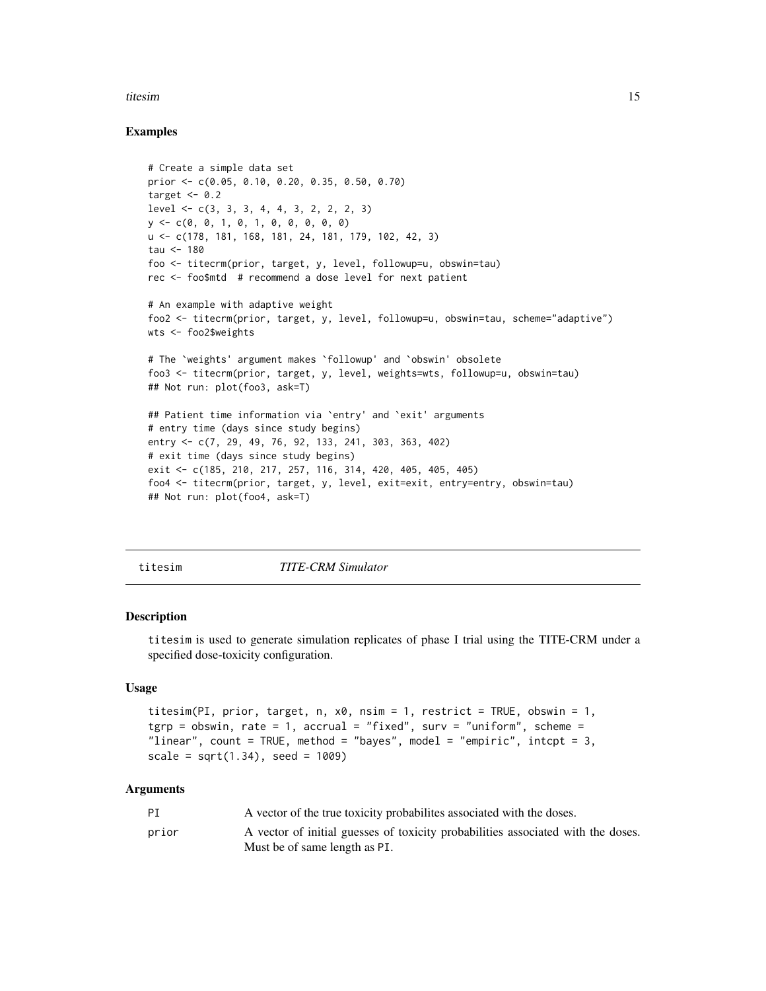#### <span id="page-14-0"></span>titesim and the state of the state of the state of the state of the state of the state of the state of the state of the state of the state of the state of the state of the state of the state of the state of the state of th

### Examples

```
# Create a simple data set
prior <- c(0.05, 0.10, 0.20, 0.35, 0.50, 0.70)
target <-0.2level \leq c(3, 3, 3, 4, 4, 3, 2, 2, 3)y <- c(0, 0, 1, 0, 1, 0, 0, 0, 0, 0)
u <- c(178, 181, 168, 181, 24, 181, 179, 102, 42, 3)
tau <-180foo <- titecrm(prior, target, y, level, followup=u, obswin=tau)
rec <- foo$mtd # recommend a dose level for next patient
# An example with adaptive weight
foo2 <- titecrm(prior, target, y, level, followup=u, obswin=tau, scheme="adaptive")
wts <- foo2$weights
# The `weights' argument makes `followup' and `obswin' obsolete
foo3 <- titecrm(prior, target, y, level, weights=wts, followup=u, obswin=tau)
## Not run: plot(foo3, ask=T)
## Patient time information via `entry' and `exit' arguments
# entry time (days since study begins)
entry <- c(7, 29, 49, 76, 92, 133, 241, 303, 363, 402)
# exit time (days since study begins)
exit <- c(185, 210, 217, 257, 116, 314, 420, 405, 405, 405)
foo4 <- titecrm(prior, target, y, level, exit=exit, entry=entry, obswin=tau)
## Not run: plot(foo4, ask=T)
```
<span id="page-14-1"></span>titesim *TITE-CRM Simulator*

#### Description

titesim is used to generate simulation replicates of phase I trial using the TITE-CRM under a specified dose-toxicity configuration.

# Usage

```
titesim(PI, prior, target, n, x0, nsim = 1, restrict = TRUE, obswin = 1,
tgrp = obswin, rate = 1, accrual = "fixed", surv = "uniform", scheme =
"linear", count = TRUE, method = "bayes", model = "empiric", intcpt = 3,
scale = sqrt(1.34), seed = 1009)
```

| PT    | A vector of the true toxicity probabilities associated with the doses.           |
|-------|----------------------------------------------------------------------------------|
| prior | A vector of initial guesses of toxicity probabilities associated with the doses. |
|       | Must be of same length as PI.                                                    |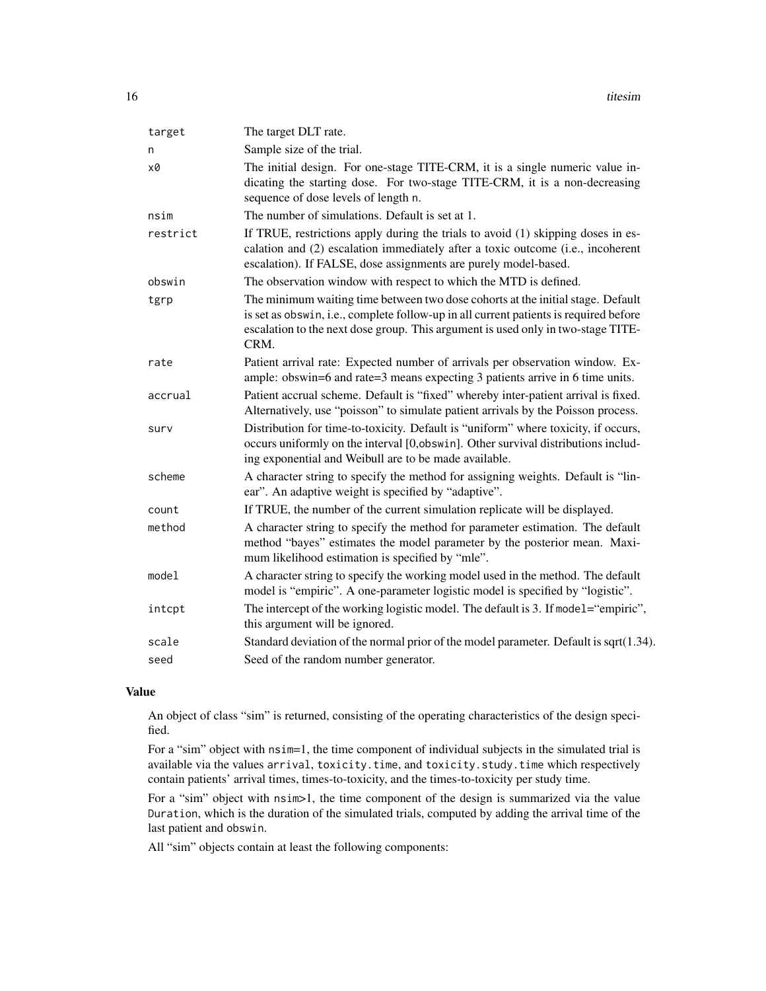16 titesim the state of the state of the state of the state of the state of the state of the state of the state of the state of the state of the state of the state of the state of the state of the state of the state of the

| target   | The target DLT rate.                                                                                                                                                                                                                                                 |
|----------|----------------------------------------------------------------------------------------------------------------------------------------------------------------------------------------------------------------------------------------------------------------------|
| n        | Sample size of the trial.                                                                                                                                                                                                                                            |
| x0       | The initial design. For one-stage TITE-CRM, it is a single numeric value in-<br>dicating the starting dose. For two-stage TITE-CRM, it is a non-decreasing<br>sequence of dose levels of length n.                                                                   |
| nsim     | The number of simulations. Default is set at 1.                                                                                                                                                                                                                      |
| restrict | If TRUE, restrictions apply during the trials to avoid (1) skipping doses in es-<br>calation and (2) escalation immediately after a toxic outcome (i.e., incoherent<br>escalation). If FALSE, dose assignments are purely model-based.                               |
| obswin   | The observation window with respect to which the MTD is defined.                                                                                                                                                                                                     |
| tgrp     | The minimum waiting time between two dose cohorts at the initial stage. Default<br>is set as obswin, i.e., complete follow-up in all current patients is required before<br>escalation to the next dose group. This argument is used only in two-stage TITE-<br>CRM. |
| rate     | Patient arrival rate: Expected number of arrivals per observation window. Ex-<br>ample: obswin=6 and rate=3 means expecting 3 patients arrive in 6 time units.                                                                                                       |
| accrual  | Patient accrual scheme. Default is "fixed" whereby inter-patient arrival is fixed.<br>Alternatively, use "poisson" to simulate patient arrivals by the Poisson process.                                                                                              |
| surv     | Distribution for time-to-toxicity. Default is "uniform" where toxicity, if occurs,<br>occurs uniformly on the interval [0,obswin]. Other survival distributions includ-<br>ing exponential and Weibull are to be made available.                                     |
| scheme   | A character string to specify the method for assigning weights. Default is "lin-<br>ear". An adaptive weight is specified by "adaptive".                                                                                                                             |
| count    | If TRUE, the number of the current simulation replicate will be displayed.                                                                                                                                                                                           |
| method   | A character string to specify the method for parameter estimation. The default<br>method "bayes" estimates the model parameter by the posterior mean. Maxi-<br>mum likelihood estimation is specified by "mle".                                                      |
| model    | A character string to specify the working model used in the method. The default<br>model is "empiric". A one-parameter logistic model is specified by "logistic".                                                                                                    |
| intcpt   | The intercept of the working logistic model. The default is 3. If model="empiric",<br>this argument will be ignored.                                                                                                                                                 |
| scale    | Standard deviation of the normal prior of the model parameter. Default is sqrt(1.34).                                                                                                                                                                                |
| seed     | Seed of the random number generator.                                                                                                                                                                                                                                 |
|          |                                                                                                                                                                                                                                                                      |

# Value

An object of class "sim" is returned, consisting of the operating characteristics of the design specified.

For a "sim" object with  $nsim=1$ , the time component of individual subjects in the simulated trial is available via the values arrival, toxicity.time, and toxicity.study.time which respectively contain patients' arrival times, times-to-toxicity, and the times-to-toxicity per study time.

For a "sim" object with  $nsim>1$ , the time component of the design is summarized via the value Duration, which is the duration of the simulated trials, computed by adding the arrival time of the last patient and obswin.

All "sim" objects contain at least the following components: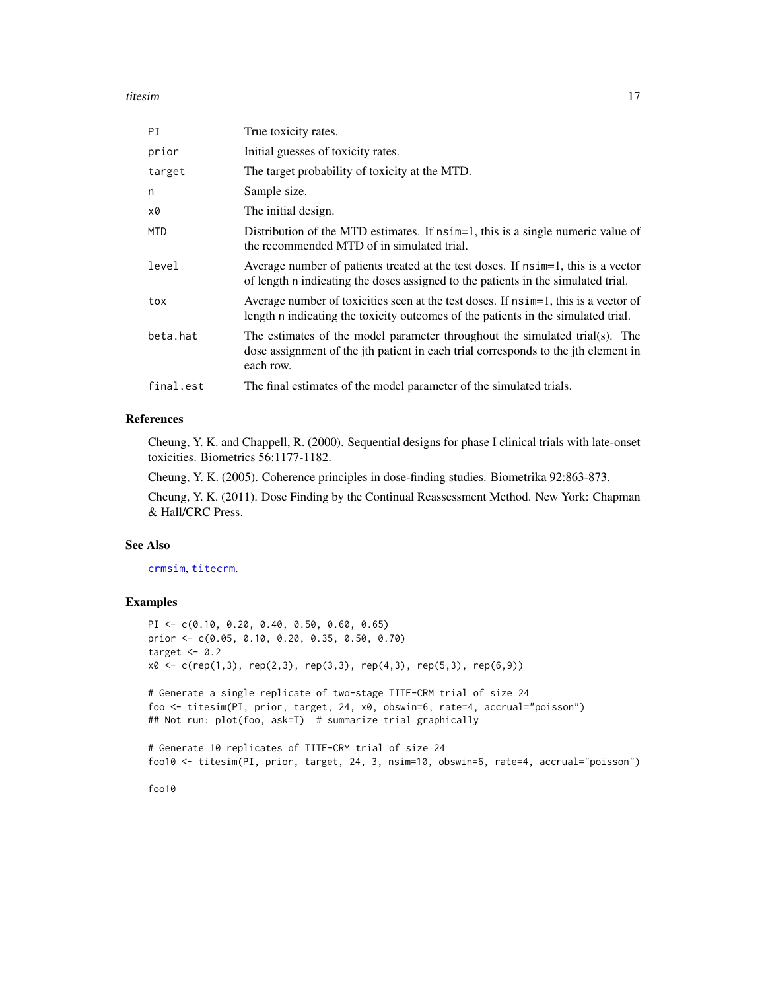#### <span id="page-16-0"></span>titesim and the state of the state of the state of the state of the state of the state of the state of the state of the state of the state of the state of the state of the state of the state of the state of the state of th

| PI         | True toxicity rates.                                                                                                                                                           |
|------------|--------------------------------------------------------------------------------------------------------------------------------------------------------------------------------|
| prior      | Initial guesses of toxicity rates.                                                                                                                                             |
| target     | The target probability of toxicity at the MTD.                                                                                                                                 |
| n          | Sample size.                                                                                                                                                                   |
| x0         | The initial design.                                                                                                                                                            |
| <b>MTD</b> | Distribution of the MTD estimates. If nsim=1, this is a single numeric value of<br>the recommended MTD of in simulated trial.                                                  |
| level      | Average number of patients treated at the test doses. If nsimely this is a vector<br>of length n indicating the doses assigned to the patients in the simulated trial.         |
| tox        | Average number of toxicities seen at the test doses. If nsim=1, this is a vector of<br>length n indicating the toxicity outcomes of the patients in the simulated trial.       |
| beta.hat   | The estimates of the model parameter throughout the simulated trial(s). The<br>dose assignment of the jth patient in each trial corresponds to the jth element in<br>each row. |
| final.est  | The final estimates of the model parameter of the simulated trials.                                                                                                            |

### References

Cheung, Y. K. and Chappell, R. (2000). Sequential designs for phase I clinical trials with late-onset toxicities. Biometrics 56:1177-1182.

Cheung, Y. K. (2005). Coherence principles in dose-finding studies. Biometrika 92:863-873.

Cheung, Y. K. (2011). Dose Finding by the Continual Reassessment Method. New York: Chapman & Hall/CRC Press.

#### See Also

[crmsim](#page-5-1), [titecrm](#page-11-1).

#### Examples

```
PI <- c(0.10, 0.20, 0.40, 0.50, 0.60, 0.65)
prior <- c(0.05, 0.10, 0.20, 0.35, 0.50, 0.70)
target <-0.2x0 \leq c (rep(1,3), rep(2,3), rep(3,3), rep(4,3), rep(5,3), rep(6,9))
```
# Generate a single replicate of two-stage TITE-CRM trial of size 24 foo <- titesim(PI, prior, target, 24, x0, obswin=6, rate=4, accrual="poisson") ## Not run: plot(foo, ask=T) # summarize trial graphically

# Generate 10 replicates of TITE-CRM trial of size 24 foo10 <- titesim(PI, prior, target, 24, 3, nsim=10, obswin=6, rate=4, accrual="poisson")

foo10